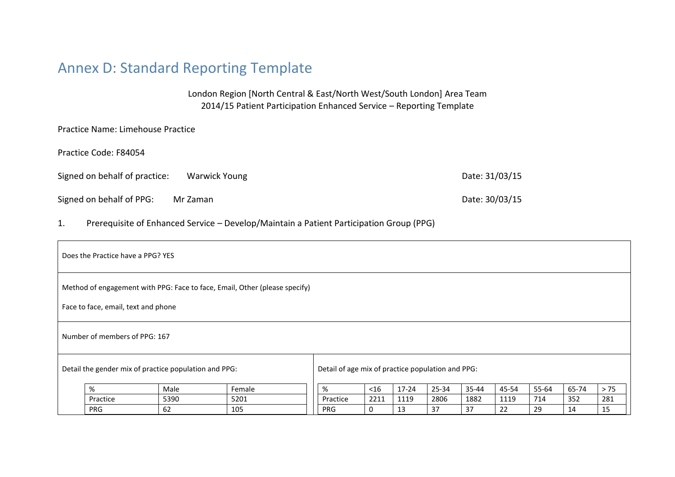# Annex D: Standard Reporting Template

London Region [North Central & East/North West/South London] Area Team 2014/15 Patient Participation Enhanced Service – Reporting Template

Practice Name: Limehouse Practice

Practice Code: F84054

Signed on behalf of practice: Warwick Young Date: 31/03/15

Signed on behalf of PPG: Mr Zaman Date: 30/03/15

1. Prerequisite of Enhanced Service – Develop/Maintain a Patient Participation Group (PPG)

| Does the Practice have a PPG? YES                                                                                 |                                                       |                                                   |        |            |        |           |       |       |       |       |       |      |
|-------------------------------------------------------------------------------------------------------------------|-------------------------------------------------------|---------------------------------------------------|--------|------------|--------|-----------|-------|-------|-------|-------|-------|------|
| Method of engagement with PPG: Face to face, Email, Other (please specify)<br>Face to face, email, text and phone |                                                       |                                                   |        |            |        |           |       |       |       |       |       |      |
| Number of members of PPG: 167                                                                                     |                                                       |                                                   |        |            |        |           |       |       |       |       |       |      |
|                                                                                                                   | Detail the gender mix of practice population and PPG: | Detail of age mix of practice population and PPG: |        |            |        |           |       |       |       |       |       |      |
|                                                                                                                   | %                                                     | Male                                              | Female | %          | $<$ 16 | $17 - 24$ | 25-34 | 35-44 | 45-54 | 55-64 | 65-74 | > 75 |
|                                                                                                                   | Practice                                              | 5390                                              | 5201   | Practice   | 2211   | 1119      | 2806  | 1882  | 1119  | 714   | 352   | 281  |
|                                                                                                                   | <b>PRG</b>                                            | 62                                                | 105    | <b>PRG</b> | 0      | 13        | 37    | 37    | 22    | 29    | 14    | 15   |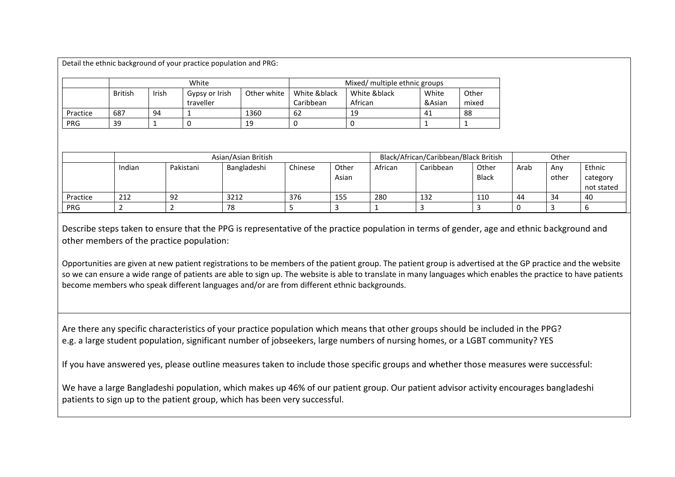Detail the ethnic background of your practice population and PRG:

|            | White          |       |                |               | Mixed/ multiple ethnic groups |              |        |       |  |  |
|------------|----------------|-------|----------------|---------------|-------------------------------|--------------|--------|-------|--|--|
|            | <b>British</b> | Irish | Gypsy or Irish | Other white 1 | White &black                  | White &black | White  | Other |  |  |
|            |                |       | traveller      |               | Caribbean                     | African      | &Asian | mixed |  |  |
| Practice   | 687            | 94    |                | 1360          | -62                           | 19           | 41     | 88    |  |  |
| <b>PRG</b> | 39             |       |                | 19            |                               |              |        |       |  |  |

|            | Asian/Asian British |           |             |         |                | Black/African/Caribbean/Black British | Other     |                       |      |              |                                  |
|------------|---------------------|-----------|-------------|---------|----------------|---------------------------------------|-----------|-----------------------|------|--------------|----------------------------------|
|            | Indian              | Pakistani | Bangladeshi | Chinese | Other<br>Asian | African                               | Caribbean | Other<br><b>Black</b> | Arab | Any<br>other | Ethnic<br>category<br>not stated |
| Practice   | 212                 | -92       | 3212        | 376     | 155            | 280                                   | 132       | 110                   | 44   | 34           | 40                               |
| <b>PRG</b> |                     |           | 78          |         |                |                                       |           |                       |      |              |                                  |

Describe steps taken to ensure that the PPG is representative of the practice population in terms of gender, age and ethnic background and other members of the practice population:

Opportunities are given at new patient registrations to be members of the patient group. The patient group is advertised at the GP practice and the website so we can ensure a wide range of patients are able to sign up. The website is able to translate in many languages which enables the practice to have patients become members who speak different languages and/or are from different ethnic backgrounds.

Are there any specific characteristics of your practice population which means that other groups should be included in the PPG? e.g. a large student population, significant number of jobseekers, large numbers of nursing homes, or a LGBT community? YES

If you have answered yes, please outline measures taken to include those specific groups and whether those measures were successful:

We have a large Bangladeshi population, which makes up 46% of our patient group. Our patient advisor activity encourages bangladeshi patients to sign up to the patient group, which has been very successful.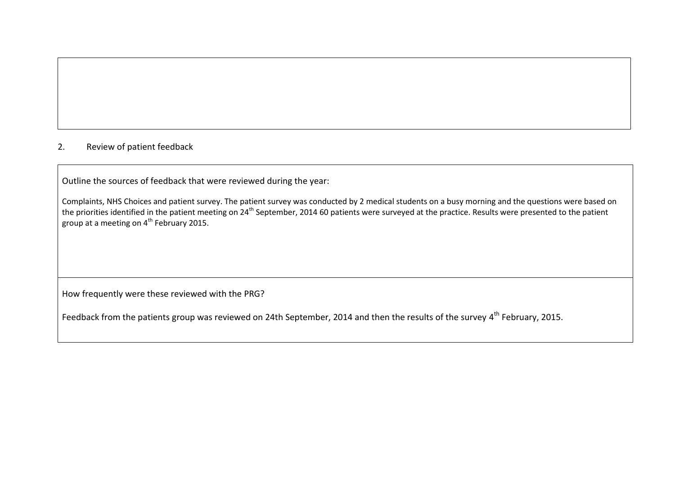# 2. Review of patient feedback

Outline the sources of feedback that were reviewed during the year:

Complaints, NHS Choices and patient survey. The patient survey was conducted by 2 medical students on a busy morning and the questions were based on the priorities identified in the patient meeting on 24th September, 2014 60 patients were surveyed at the practice. Results were presented to the patient group at a meeting on  $4^{th}$  February 2015.

How frequently were these reviewed with the PRG?

Feedback from the patients group was reviewed on 24th September, 2014 and then the results of the survey 4<sup>th</sup> February, 2015.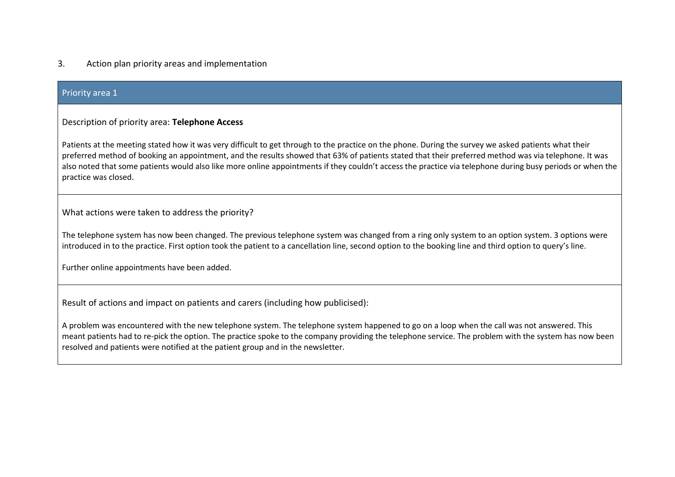# 3. Action plan priority areas and implementation

### Priority area 1

## Description of priority area: **Telephone Access**

Patients at the meeting stated how it was very difficult to get through to the practice on the phone. During the survey we asked patients what their preferred method of booking an appointment, and the results showed that 63% of patients stated that their preferred method was via telephone. It was also noted that some patients would also like more online appointments if they couldn't access the practice via telephone during busy periods or when the practice was closed.

What actions were taken to address the priority?

The telephone system has now been changed. The previous telephone system was changed from a ring only system to an option system. 3 options were introduced in to the practice. First option took the patient to a cancellation line, second option to the booking line and third option to query's line.

Further online appointments have been added.

Result of actions and impact on patients and carers (including how publicised):

A problem was encountered with the new telephone system. The telephone system happened to go on a loop when the call was not answered. This meant patients had to re-pick the option. The practice spoke to the company providing the telephone service. The problem with the system has now been resolved and patients were notified at the patient group and in the newsletter.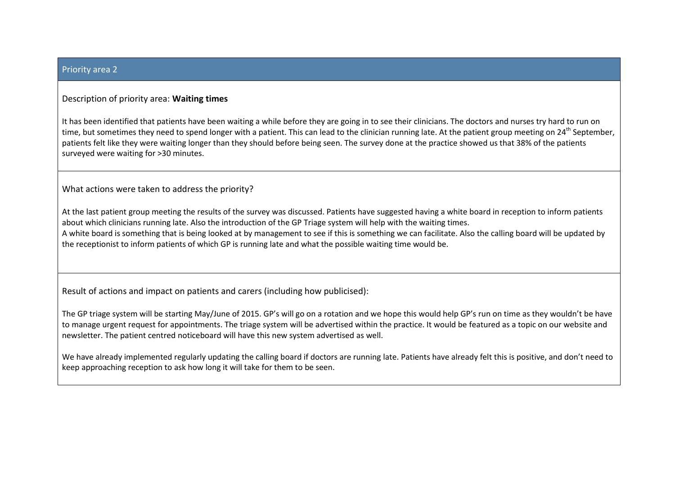#### Priority area 2

### Description of priority area: **Waiting times**

It has been identified that patients have been waiting a while before they are going in to see their clinicians. The doctors and nurses try hard to run on time, but sometimes they need to spend longer with a patient. This can lead to the clinician running late. At the patient group meeting on 24<sup>th</sup> September, patients felt like they were waiting longer than they should before being seen. The survey done at the practice showed us that 38% of the patients surveyed were waiting for >30 minutes.

What actions were taken to address the priority?

At the last patient group meeting the results of the survey was discussed. Patients have suggested having a white board in reception to inform patients about which clinicians running late. Also the introduction of the GP Triage system will help with the waiting times. A white board is something that is being looked at by management to see if this is something we can facilitate. Also the calling board will be updated by the receptionist to inform patients of which GP is running late and what the possible waiting time would be.

Result of actions and impact on patients and carers (including how publicised):

The GP triage system will be starting May/June of 2015. GP's will go on a rotation and we hope this would help GP's run on time as they wouldn't be have to manage urgent request for appointments. The triage system will be advertised within the practice. It would be featured as a topic on our website and newsletter. The patient centred noticeboard will have this new system advertised as well.

We have already implemented regularly updating the calling board if doctors are running late. Patients have already felt this is positive, and don't need to keep approaching reception to ask how long it will take for them to be seen.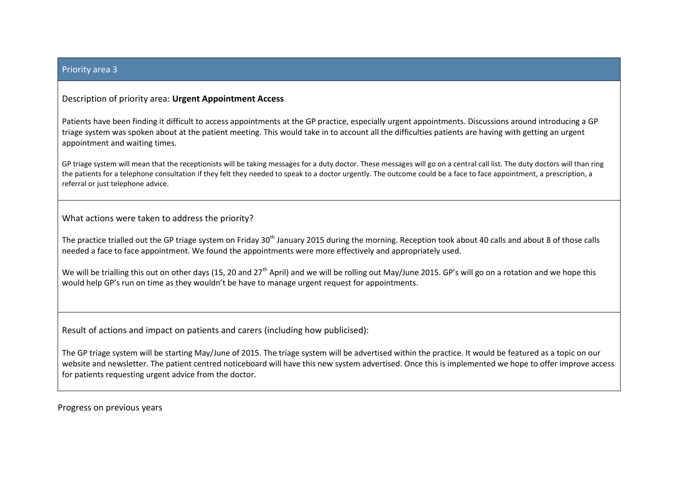#### Priority area 3

# Description of priority area: **Urgent Appointment Access**

Patients have been finding it difficult to access appointments at the GP practice, especially urgent appointments. Discussions around introducing a GP triage system was spoken about at the patient meeting. This would take in to account all the difficulties patients are having with getting an urgent appointment and waiting times.

GP triage system will mean that the receptionists will be taking messages for a duty doctor. These messages will go on a central call list. The duty doctors will than ring the patients for a telephone consultation if they felt they needed to speak to a doctor urgently. The outcome could be a face to face appointment, a prescription, a referral or just telephone advice.

What actions were taken to address the priority?

The practice trialled out the GP triage system on Friday 30<sup>th</sup> January 2015 during the morning. Reception took about 40 calls and about 8 of those calls needed a face to face appointment. We found the appointments were more effectively and appropriately used.

We will be trialling this out on other days (15, 20 and 27<sup>th</sup> April) and we will be rolling out May/June 2015. GP's will go on a rotation and we hope this would help GP's run on time as they wouldn't be have to manage urgent request for appointments.

Result of actions and impact on patients and carers (including how publicised):

The GP triage system will be starting May/June of 2015. The triage system will be advertised within the practice. It would be featured as a topic on our website and newsletter. The patient centred noticeboard will have this new system advertised. Once this is implemented we hope to offer improve access for patients requesting urgent advice from the doctor.

Progress on previous years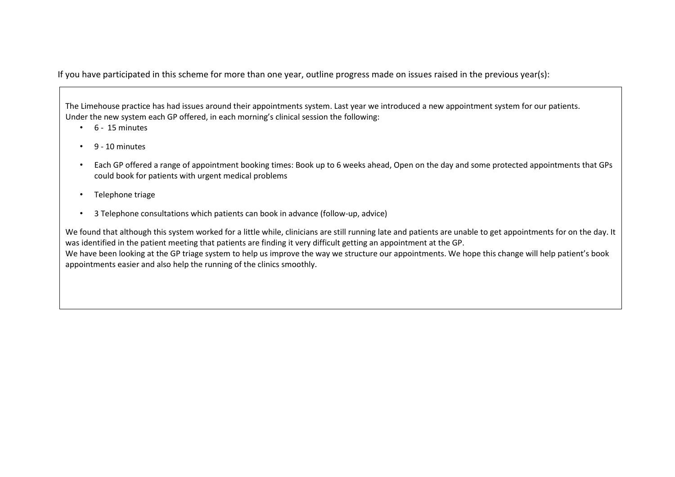If you have participated in this scheme for more than one year, outline progress made on issues raised in the previous year(s):

The Limehouse practice has had issues around their appointments system. Last year we introduced a new appointment system for our patients. Under the new system each GP offered, in each morning's clinical session the following:

- $\cdot$  6 15 minutes
- 9 10 minutes
- Each GP offered a range of appointment booking times: Book up to 6 weeks ahead, Open on the day and some protected appointments that GPs could book for patients with urgent medical problems
- Telephone triage
- 3 Telephone consultations which patients can book in advance (follow-up, advice)

We found that although this system worked for a little while, clinicians are still running late and patients are unable to get appointments for on the day. It was identified in the patient meeting that patients are finding it very difficult getting an appointment at the GP. We have been looking at the GP triage system to help us improve the way we structure our appointments. We hope this change will help patient's book appointments easier and also help the running of the clinics smoothly.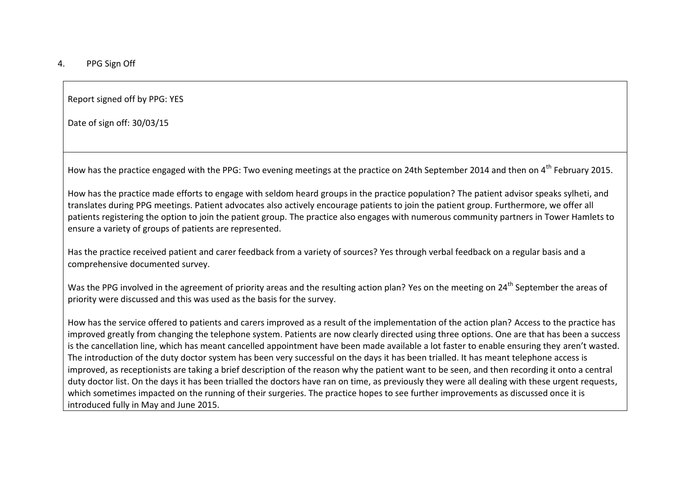Report signed off by PPG: YES

Date of sign off: 30/03/15

How has the practice engaged with the PPG: Two evening meetings at the practice on 24th September 2014 and then on 4<sup>th</sup> February 2015.

How has the practice made efforts to engage with seldom heard groups in the practice population? The patient advisor speaks sylheti, and translates during PPG meetings. Patient advocates also actively encourage patients to join the patient group. Furthermore, we offer all patients registering the option to join the patient group. The practice also engages with numerous community partners in Tower Hamlets to ensure a variety of groups of patients are represented.

Has the practice received patient and carer feedback from a variety of sources? Yes through verbal feedback on a regular basis and a comprehensive documented survey.

Was the PPG involved in the agreement of priority areas and the resulting action plan? Yes on the meeting on 24<sup>th</sup> September the areas of priority were discussed and this was used as the basis for the survey.

How has the service offered to patients and carers improved as a result of the implementation of the action plan? Access to the practice has improved greatly from changing the telephone system. Patients are now clearly directed using three options. One are that has been a success is the cancellation line, which has meant cancelled appointment have been made available a lot faster to enable ensuring they aren't wasted. The introduction of the duty doctor system has been very successful on the days it has been trialled. It has meant telephone access is improved, as receptionists are taking a brief description of the reason why the patient want to be seen, and then recording it onto a central duty doctor list. On the days it has been trialled the doctors have ran on time, as previously they were all dealing with these urgent requests, which sometimes impacted on the running of their surgeries. The practice hopes to see further improvements as discussed once it is introduced fully in May and June 2015.